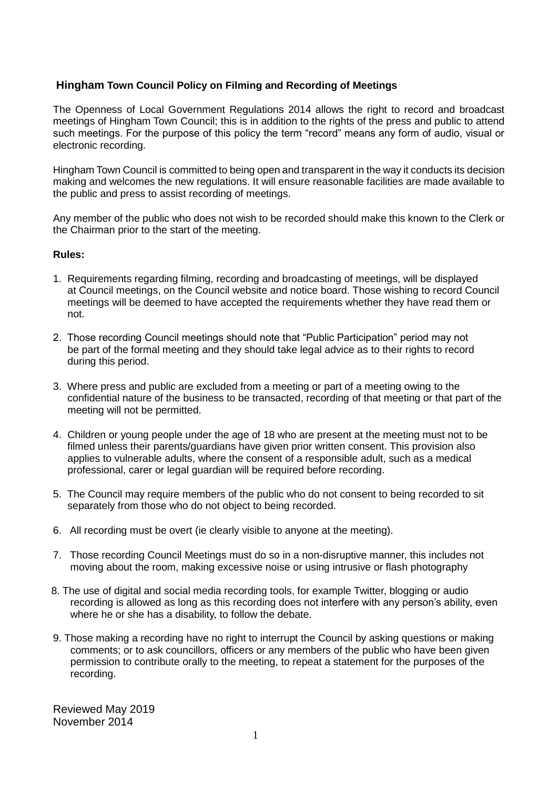## **Hingham Town Council Policy on Filming and Recording of Meetings**

The Openness of Local Government Regulations 2014 allows the right to record and broadcast meetings of Hingham Town Council; this is in addition to the rights of the press and public to attend such meetings. For the purpose of this policy the term "record" means any form of audio, visual or electronic recording.

Hingham Town Council is committed to being open and transparent in the way it conducts its decision making and welcomes the new regulations. It will ensure reasonable facilities are made available to the public and press to assist recording of meetings.

Any member of the public who does not wish to be recorded should make this known to the Clerk or the Chairman prior to the start of the meeting.

## **Rules:**

- 1. Requirements regarding filming, recording and broadcasting of meetings, will be displayed at Council meetings, on the Council website and notice board. Those wishing to record Council meetings will be deemed to have accepted the requirements whether they have read them or not.
- 2. Those recording Council meetings should note that "Public Participation" period may not be part of the formal meeting and they should take legal advice as to their rights to record during this period.
- 3. Where press and public are excluded from a meeting or part of a meeting owing to the confidential nature of the business to be transacted, recording of that meeting or that part of the meeting will not be permitted.
- 4. Children or young people under the age of 18 who are present at the meeting must not to be filmed unless their parents/guardians have given prior written consent. This provision also applies to vulnerable adults, where the consent of a responsible adult, such as a medical professional, carer or legal guardian will be required before recording.
- 5. The Council may require members of the public who do not consent to being recorded to sit separately from those who do not object to being recorded.
- 6. All recording must be overt (ie clearly visible to anyone at the meeting).
- 7. Those recording Council Meetings must do so in a non-disruptive manner, this includes not moving about the room, making excessive noise or using intrusive or flash photography
- 8. The use of digital and social media recording tools, for example Twitter, blogging or audio recording is allowed as long as this recording does not interfere with any person's ability, even where he or she has a disability, to follow the debate.
- 9. Those making a recording have no right to interrupt the Council by asking questions or making comments; or to ask councillors, officers or any members of the public who have been given permission to contribute orally to the meeting, to repeat a statement for the purposes of the recording.

Reviewed May 2019 November 2014